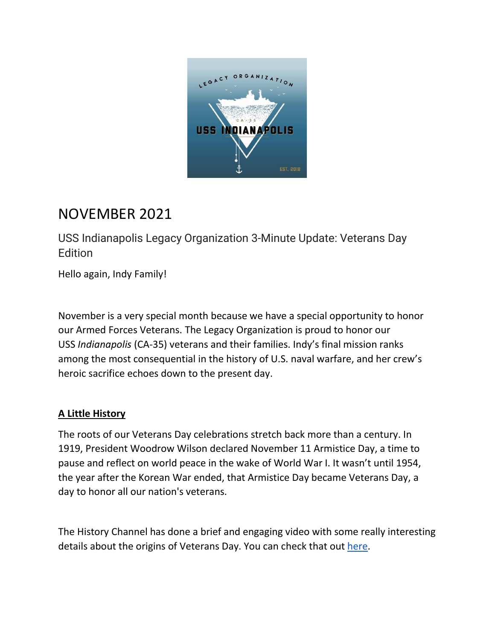

# NOVEMBER 2021

USS Indianapolis Legacy Organization 3-Minute Update: Veterans Day **Edition** 

Hello again, Indy Family!

November is a very special month because we have a special opportunity to honor our Armed Forces Veterans. The Legacy Organization is proud to honor our USS *Indianapolis* (CA-35) veterans and their families. Indy's final mission ranks among the most consequential in the history of U.S. naval warfare, and her crew's heroic sacrifice echoes down to the present day.

## **A Little History**

The roots of our Veterans Day celebrations stretch back more than a century. In 1919, President Woodrow Wilson declared November 11 Armistice Day, a time to pause and reflect on world peace in the wake of World War I. It wasn't until 1954, the year after the Korean War ended, that Armistice Day became Veterans Day, a day to honor all our nation's veterans.

The History Channel has done a brief and engaging video with some really interesting details about the origins of Veterans Day. You can check that out [here.](https://www.youtube.com/watch?v=ymCa1eB_qLA)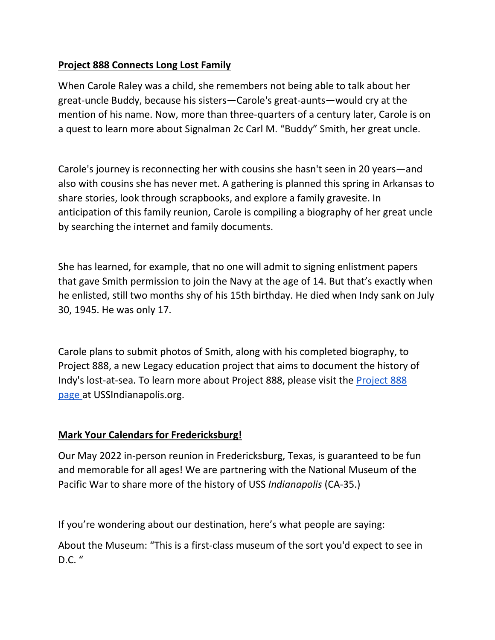## **Project 888 Connects Long Lost Family**

When Carole Raley was a child, she remembers not being able to talk about her great-uncle Buddy, because his sisters—Carole's great-aunts—would cry at the mention of his name. Now, more than three-quarters of a century later, Carole is on a quest to learn more about Signalman 2c Carl M. "Buddy" Smith, her great uncle.

Carole's journey is reconnecting her with cousins she hasn't seen in 20 years—and also with cousins she has never met. A gathering is planned this spring in Arkansas to share stories, look through scrapbooks, and explore a family gravesite. In anticipation of this family reunion, Carole is compiling a biography of her great uncle by searching the internet and family documents.

She has learned, for example, that no one will admit to signing enlistment papers that gave Smith permission to join the Navy at the age of 14. But that's exactly when he enlisted, still two months shy of his 15th birthday. He died when Indy sank on July 30, 1945. He was only 17.

Carole plans to submit photos of Smith, along with his completed biography, to Project 888, a new Legacy education project that aims to document the history of Indy's lost-at-sea. To learn more about Project 888, please visit the [Project 888](https://www.ussindianapolis.org/project-888)  [page](https://www.ussindianapolis.org/project-888) at USSIndianapolis.org.

## **Mark Your Calendars for Fredericksburg!**

Our May 2022 in-person reunion in Fredericksburg, Texas, is guaranteed to be fun and memorable for all ages! We are partnering with the National Museum of the Pacific War to share more of the history of USS *Indianapolis* (CA-35.)

If you're wondering about our destination, here's what people are saying:

About the Museum: "This is a first-class museum of the sort you'd expect to see in  $D.C.$ "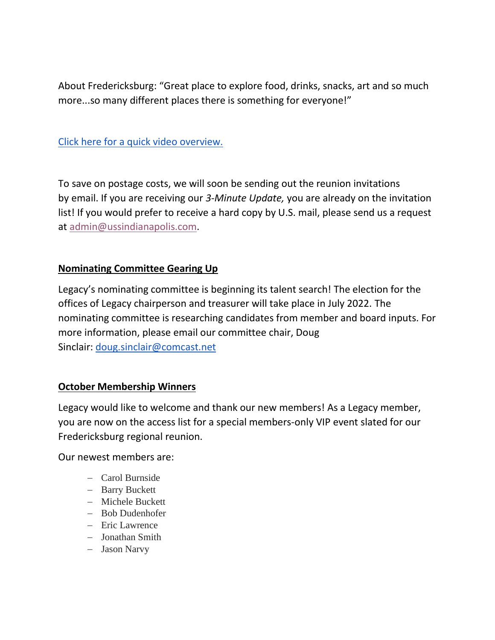About Fredericksburg: "Great place to explore food, drinks, snacks, art and so much more...so many different places there is something for everyone!"

[Click here for a quick video overview.](https://youtu.be/tIhnoS8bl1c)

To save on postage costs, we will soon be sending out the reunion invitations by email. If you are receiving our *3-Minute Update,* you are already on the invitation list! If you would prefer to receive a hard copy by U.S. mail, please send us a request at [admin@ussindianapolis.com.](mailto:admin@ussindianapolis.com)

### **Nominating Committee Gearing Up**

Legacy's nominating committee is beginning its talent search! The election for the offices of Legacy chairperson and treasurer will take place in July 2022. The nominating committee is researching candidates from member and board inputs. For more information, please email our committee chair, Doug Sinclair: [doug.sinclair@comcast.net](mailto:doug.sinclair@comcast.net)

#### **October Membership Winners**

Legacy would like to welcome and thank our new members! As a Legacy member, you are now on the access list for a special members-only VIP event slated for our Fredericksburg regional reunion.

#### Our newest members are:

- − Carol Burnside
- − Barry Buckett
- − Michele Buckett
- − Bob Dudenhofer
- − Eric Lawrence
- − Jonathan Smith
- − Jason Narvy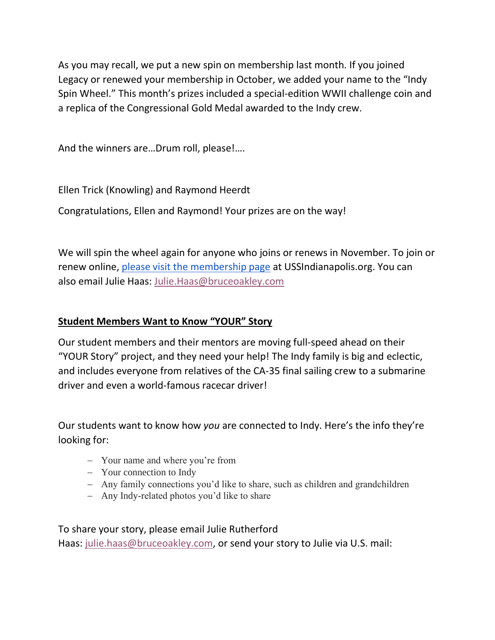As you may recall, we put a new spin on membership last month. If you joined Legacy or renewed your membership in October, we added your name to the "Indy Spin Wheel." This month's prizes included a special-edition WWII challenge coin and a replica of the Congressional Gold Medal awarded to the Indy crew.

And the winners are…Drum roll, please!….

Ellen Trick (Knowling) and Raymond Heerdt

Congratulations, Ellen and Raymond! Your prizes are on the way!

We will spin the wheel again for anyone who joins or renews in November. To join or renew online, [please visit the membership page](https://www.ussindianapolis.org/membership) at USSIndianapolis.org. You can also email Julie Haas: [Julie.Haas@bruceoakley.com](mailto:Julie.Haas@bruceoakley.com)

## **Student Members Want to Know "YOUR" Story**

Our student members and their mentors are moving full-speed ahead on their "YOUR Story" project, and they need your help! The Indy family is big and eclectic, and includes everyone from relatives of the CA-35 final sailing crew to a submarine driver and even a world-famous racecar driver!

Our students want to know how *you* are connected to Indy. Here's the info they're looking for:

- − Your name and where you're from
- − Your connection to Indy
- − Any family connections you'd like to share, such as children and grandchildren
- − Any Indy-related photos you'd like to share

To share your story, please email Julie Rutherford Haas: [julie.haas@bruceoakley.com,](mailto:julie.haas@bruceoakley.com) or send your story to Julie via U.S. mail: